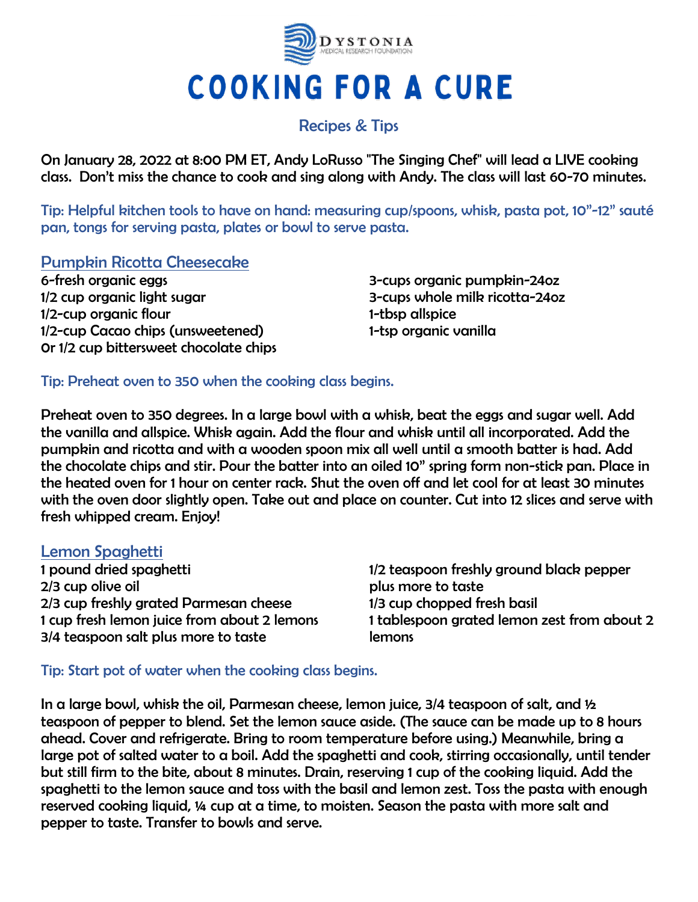

# Recipes & Tips

On January 28, 2022 at 8:00 PM ET, Andy LoRusso "The Singing Chef" will lead a LIVE cooking class. Don't miss the chance to cook and sing along with Andy. The class will last 60-70 minutes.

Tip: Helpful kitchen tools to have on hand: measuring cup/spoons, whisk, pasta pot, 10"-12" sauté pan, tongs for serving pasta, plates or bowl to serve pasta.

## Pumpkin Ricotta Cheesecake

6-fresh organic eggs 1/2 cup organic light sugar 1/2-cup organic flour 1/2-cup Cacao chips (unsweetened) 0r 1/2 cup bittersweet chocolate chips

3-cups organic pumpkin-24oz 3-cups whole milk ricotta-24oz 1-tbsp allspice 1-tsp organic vanilla

### Tip: Preheat oven to 350 when the cooking class begins.

Preheat oven to 350 degrees. In a large bowl with a whisk, beat the eggs and sugar well. Add the vanilla and allspice. Whisk again. Add the flour and whisk until all incorporated. Add the pumpkin and ricotta and with a wooden spoon mix all well until a smooth batter is had. Add the chocolate chips and stir. Pour the batter into an oiled 10" spring form non-stick pan. Place in the heated oven for 1 hour on center rack. Shut the oven off and let cool for at least 30 minutes with the oven door slightly open. Take out and place on counter. Cut into 12 slices and serve with fresh whipped cream. Enjoy!

#### Lemon Spaghetti

1 pound dried spaghetti 2/3 cup olive oil 2/3 cup freshly grated Parmesan cheese 1 cup fresh lemon juice from about 2 lemons 3/4 teaspoon salt plus more to taste

1/2 teaspoon freshly ground black pepper plus more to taste 1/3 cup chopped fresh basil 1 tablespoon grated lemon zest from about 2 lemons

### Tip: Start pot of water when the cooking class begins.

In a large bowl, whisk the oil, Parmesan cheese, lemon juice, 3/4 teaspoon of salt, and ½ teaspoon of pepper to blend. Set the lemon sauce aside. (The sauce can be made up to 8 hours ahead. Cover and refrigerate. Bring to room temperature before using.) Meanwhile, bring a large pot of salted water to a boil. Add the spaghetti and cook, stirring occasionally, until tender but still firm to the bite, about 8 minutes. Drain, reserving 1 cup of the cooking liquid. Add the spaghetti to the lemon sauce and toss with the basil and lemon zest. Toss the pasta with enough reserved cooking liquid, ¼ cup at a time, to moisten. Season the pasta with more salt and pepper to taste. Transfer to bowls and serve.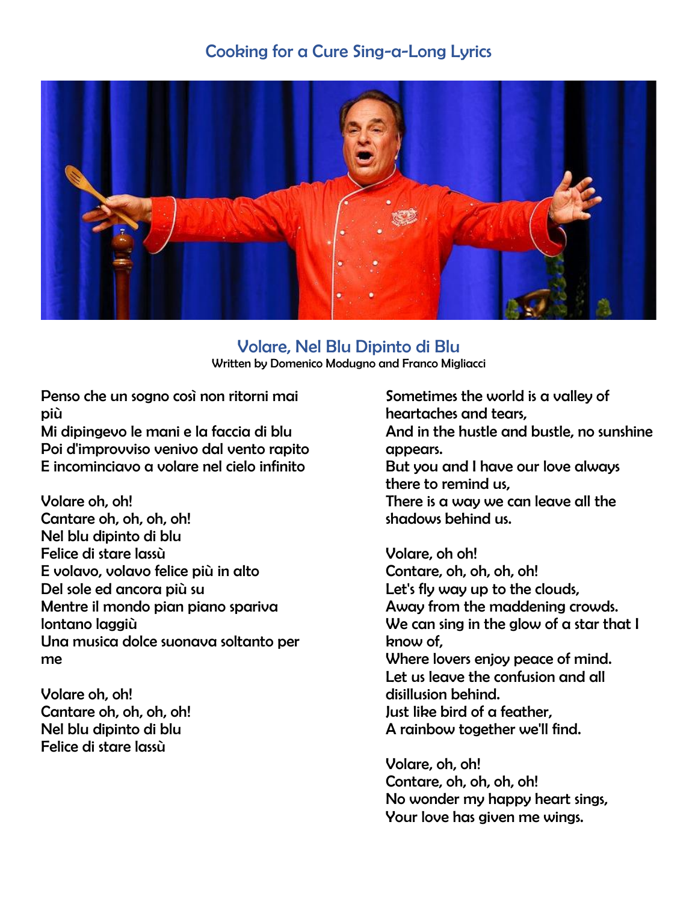# Cooking for a Cure Sing-a-Long Lyrics



#### Volare, Nel Blu Dipinto di Blu Written by Domenico Modugno and Franco Migliacci

Penso che un sogno così non ritorni mai più

Mi dipingevo le mani e la faccia di blu Poi d'improvviso venivo dal vento rapito E incominciavo a volare nel cielo infinito

Volare oh, oh! Cantare oh, oh, oh, oh! Nel blu dipinto di blu Felice di stare lassù E volavo, volavo felice più in alto Del sole ed ancora più su Mentre il mondo pian piano spariva lontano laggiù Una musica dolce suonava soltanto per me

Volare oh, oh! Cantare oh, oh, oh, oh! Nel blu dipinto di blu Felice di stare lassù

Sometimes the world is a valley of heartaches and tears, And in the hustle and bustle, no sunshine appears. But you and I have our love always there to remind us, There is a way we can leave all the shadows behind us.

Volare, oh oh! Contare, oh, oh, oh, oh! Let's fly way up to the clouds, Away from the maddening crowds. We can sing in the glow of a star that I know of, Where lovers enjoy peace of mind. Let us leave the confusion and all disillusion behind. Just like bird of a feather, A rainbow together we'll find.

Volare, oh, oh! Contare, oh, oh, oh, oh! No wonder my happy heart sings, Your love has given me wings.